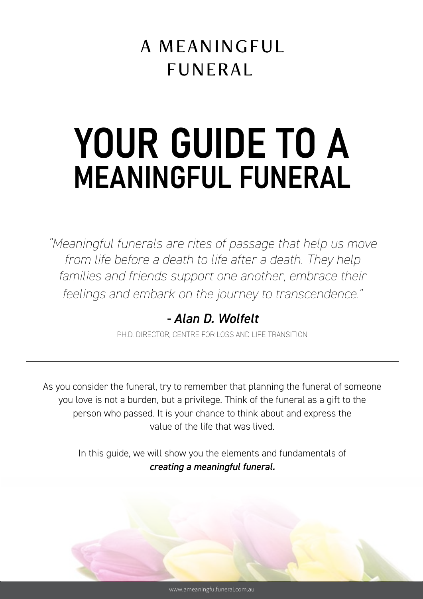# A MEANINGFUL **FUNERAL**

# YOUR GUIDE TO A MEANINGFUL FUNERAL

*"Meaningful funerals are rites of passage that help us move*  from life before a death to life after a death. They help families and friends support one another, embrace their *feelings and embark on the journey to transcendence."*

# *- Alan D. Wolfelt*

PH.D. DIRECTOR, CENTRE FOR LOSS AND LIFE TRANSITION

As you consider the funeral, try to remember that planning the funeral of someone you love is not a burden, but a privilege. Think of the funeral as a gift to the person who passed. It is your chance to think about and express the value of the life that was lived.

> In this guide, we will show you the elements and fundamentals of *creating a meaningful funeral.*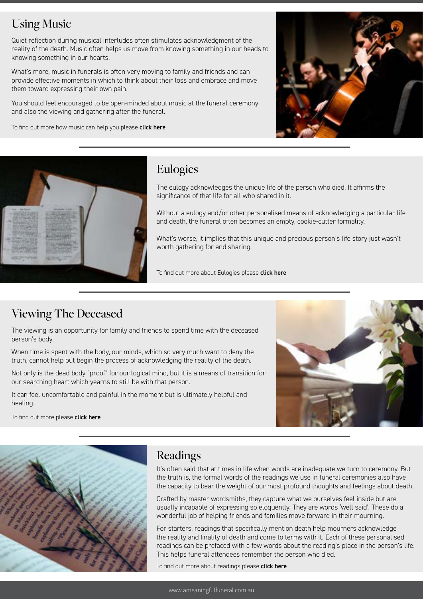#### Using Music

Quiet reflection during musical interludes often stimulates acknowledgment of the reality of the death. Music often helps us move from knowing something in our heads to knowing something in our hearts.

What's more, music in funerals is often very moving to family and friends and can provide effective moments in which to think about their loss and embrace and move them toward expressing their own pain.

You should feel encouraged to be open-minded about music at the funeral ceremony and also the viewing and gathering after the funeral.

To find out more how music can help you please [click here](https://ameaningfulfuneral.com.au/create-meaningful-funeral/using-music/)





#### Eulogies

The eulogy acknowledges the unique life of the person who died. It affirms the significance of that life for all who shared in it.

Without a eulogy and/or other personalised means of acknowledging a particular life and death, the funeral often becomes an empty, cookie-cutter formality.

What's worse, it implies that this unique and precious person's life story just wasn't worth gathering for and sharing.

To find out more about Eulogies please [click here](https://ameaningfulfuneral.com.au/create-meaningful-funeral/eulogies/)

## Viewing The Deceased

The viewing is an opportunity for family and friends to spend time with the deceased person's body.

When time is spent with the body, our minds, which so very much want to deny the truth, cannot help but begin the process of acknowledging the reality of the death.

Not only is the dead body "proof" for our logical mind, but it is a means of transition for our searching heart which yearns to still be with that person.

It can feel uncomfortable and painful in the moment but is ultimately helpful and healing.

To find out more please [click here](https://ameaningfulfuneral.com.au/create-meaningful-funeral/viewing-the-deceased/)





#### **Readings**

It's often said that at times in life when words are inadequate we turn to ceremony. But the truth is, the formal words of the readings we use in funeral ceremonies also have the capacity to bear the weight of our most profound thoughts and feelings about death.

Crafted by master wordsmiths, they capture what we ourselves feel inside but are usually incapable of expressing so eloquently. They are words 'well said'. These do a wonderful job of helping friends and families move forward in their mourning.

For starters, readings that specifically mention death help mourners acknowledge the reality and finality of death and come to terms with it. Each of these personalised readings can be prefaced with a few words about the reading's place in the person's life. This helps funeral attendees remember the person who died.

To find out more about readings please [click here](https://ameaningfulfuneral.com.au/create-meaningful-funeral/readings/)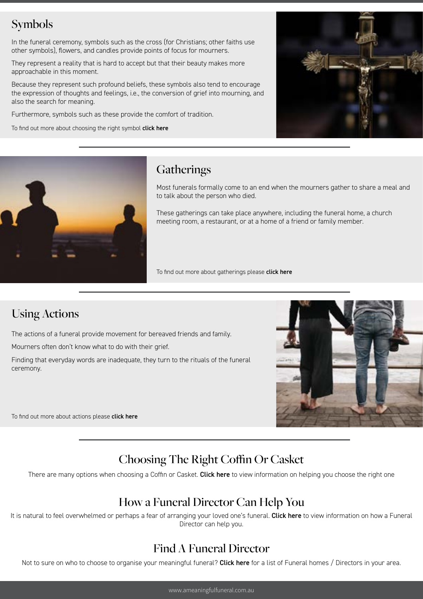# Symbols

In the funeral ceremony, symbols such as the cross (for Christians; other faiths use other symbols), flowers, and candles provide points of focus for mourners.

They represent a reality that is hard to accept but that their beauty makes more approachable in this moment.

Because they represent such profound beliefs, these symbols also tend to encourage the expression of thoughts and feelings, i.e., the conversion of grief into mourning, and also the search for meaning.

Furthermore, symbols such as these provide the comfort of tradition.

To find out more about choosing the right symbol [click here](https://ameaningfulfuneral.com.au/create-meaningful-funeral/using-symbols/)





#### **Gatherings**

Most funerals formally come to an end when the mourners gather to share a meal and to talk about the person who died.

These gatherings can take place anywhere, including the funeral home, a church meeting room, a restaurant, or at a home of a friend or family member.

To find out more about gatherings please [click here](https://ameaningfulfuneral.com.au/create-meaningful-funeral/gatherings/)

#### Using Actions

The actions of a funeral provide movement for bereaved friends and family.

Mourners often don't know what to do with their grief.

Finding that everyday words are inadequate, they turn to the rituals of the funeral ceremony.



To find out more about actions please [click here](https://ameaningfulfuneral.com.au/create-meaningful-funeral/using-actions/)

# Choosing The Right Coffin Or Casket

There are many options when choosing a Coffin or Casket. [Click here](https://ameaningfulfuneral.com.au/coffin-or-casket/) to view information on helping you choose the right one

#### How a Funeral Director Can Help You

It is natural to feel overwhelmed or perhaps a fear of arranging your loved one's funeral. [Click here](https://ameaningfulfuneral.com.au/how-funeral-directors-help/) to view information on how a Funeral Director can help you.

## Find A Funeral Director

Not to sure on who to choose to organise your meaningful funeral? [Click here](http://www.ameaningfulfuneral.com.au/find-funeral-director/) for a list of Funeral homes / Directors in your area.